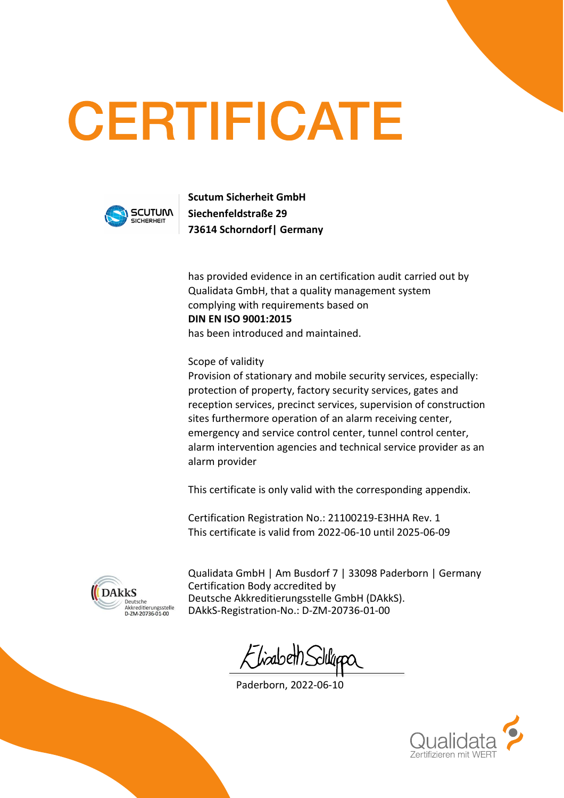## **CERTIFICATE**



**Scutum Sicherheit GmbH Siechenfeldstraße 29 73614 Schorndorf| Germany**

has provided evidence in an certification audit carried out by Qualidata GmbH, that a quality management system complying with requirements based on **DIN EN ISO 9001:2015** has been introduced and maintained.

Scope of validity

Provision of stationary and mobile security services, especially: protection of property, factory security services, gates and reception services, precinct services, supervision of construction sites furthermore operation of an alarm receiving center, emergency and service control center, tunnel control center, alarm intervention agencies and technical service provider as an alarm provider

This certificate is only valid with the corresponding appendix.

Certification Registration No.: 21100219-E3HHA Rev. 1 This certificate is valid from 2022-06-10 until 2025-06-09



Qualidata GmbH | Am Busdorf 7 | 33098 Paderborn | Germany Certification Body accredited by Deutsche Akkreditierungsstelle GmbH (DAkkS). DAkkS-Registration-No.: D-ZM-20736-01-00

-liabeth?

Paderborn, 2022-06-10